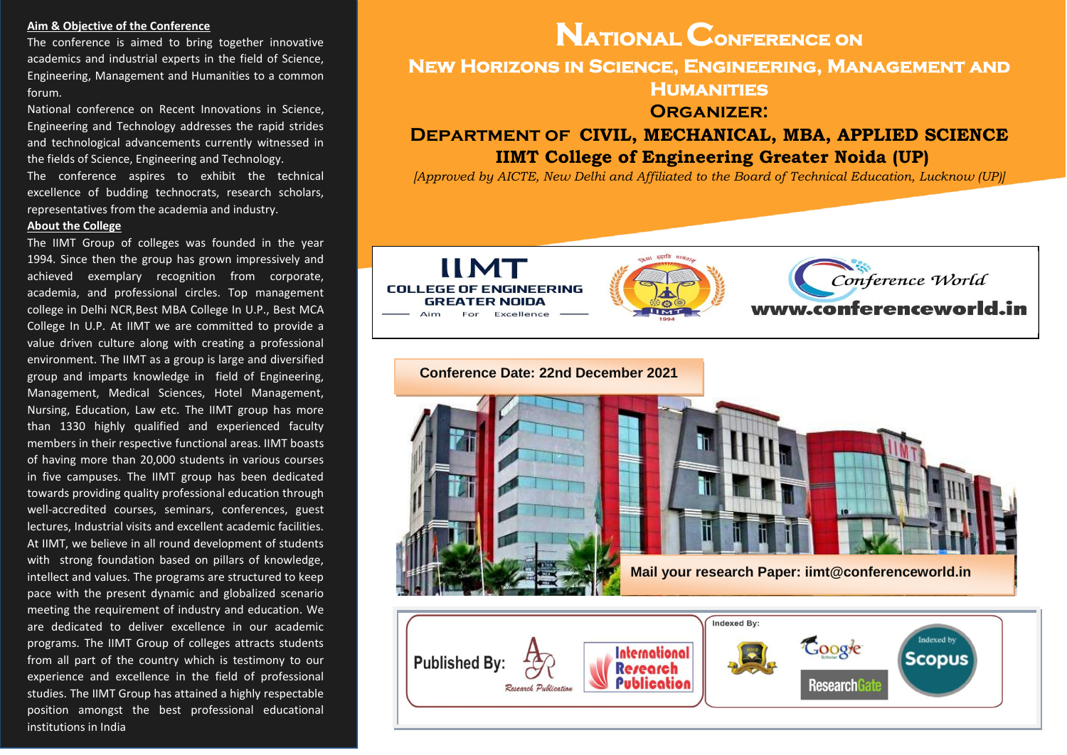# **Aim & Objective of the Conference**

The conference is aimed to bring together innovative academics and industrial experts in the field of Science, Engineering, Management and Humanities to a common forum.

National conference on Recent Innovations in Science, Engineering and Technology addresses the rapid strides and technological advancements currently witnessed in the fields of Science, Engineering and Technology.

The conference aspires to exhibit the technical excellence of budding technocrats, research scholars, representatives from the academia and industry.

#### **About the College**

The IIMT Group of colleges was founded in the year 1994. Since then the group has grown impressively and achieved exemplary recognition from corporate, academia, and professional circles. Top management college in Delhi NCR,Best MBA College In U.P., Best MCA College In U.P. At IIMT we are committed to provide a value driven culture along with creating a professional environment. The IIMT as a group is large and diversified group and imparts knowledge in field of Engineering, Management, Medical Sciences, Hotel Management, Nursing, Education, Law etc. The IIMT group has more than 1330 highly qualified and experienced faculty members in their respective functional areas. IIMT boasts of having more than 20,000 students in various courses in five campuses. The IIMT group has been dedicated towards providing quality professional education through well-accredited courses, seminars, conferences, guest lectures, Industrial visits and excellent academic facilities. At IIMT, we believe in all round development of students with strong foundation based on pillars of knowledge, intellect and values. The programs are structured to keep pace with the present dynamic and globalized scenario meeting the requirement of industry and education. We are dedicated to deliver excellence in our academic programs. The IIMT Group of colleges attracts students from all part of the country which is testimony to our experience and excellence in the field of professional studies. The IIMT Group has attained a highly respectable position amongst the best professional educational institutions in India

# **National Conference on New Horizons in Science, Engineering, Management and Humanities Organizer: Department of CIVIL, MECHANICAL, MBA, APPLIED SCIENCE**

**IIMT College of Engineering Greater Noida (UP)**

*[Approved by AICTE, New Delhi and Affiliated to the Board of Technical Education, Lucknow (UP)]*





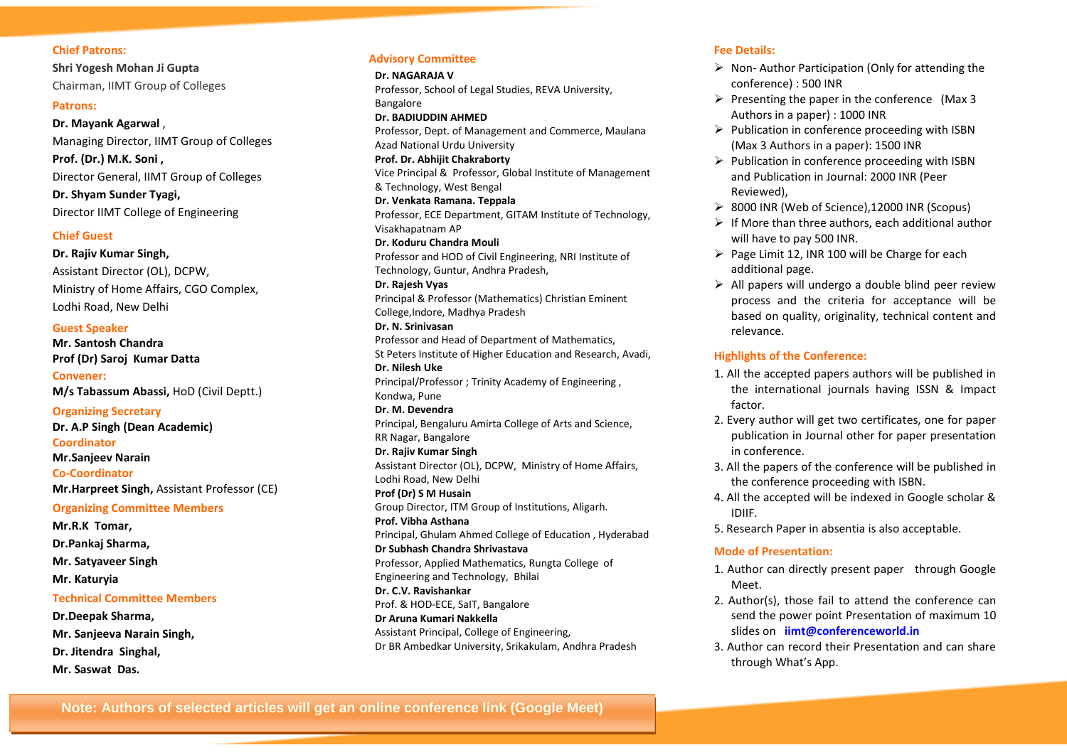# **Chief Patrons:**

**Shri Yogesh Mohan Ji Gupta**  Chairman, IIMT Group of Colleges

#### **Patrons:**

**Dr. Mayank Agarwal** , Managing Director, IIMT Group of Colleges **Prof. (Dr.) M.K. Soni ,**  Director General, IIMT Group of Colleges **Dr. Shyam Sunder Tyagi,** 

Director IIMT College of Engineering

# **Chief Guest**

**Dr. Rajiv Kumar Singh,**  Assistant Director (OL), DCPW, Ministry of Home Affairs, CGO Complex, Lodhi Road, New Delhi

# **Guest Speaker**

**Mr. Santosh Chandra Prof (Dr) Saroj Kumar Datta**

**Convener: M/s Tabassum Abassi,** HoD (Civil Deptt.)

**Organizing Secretary Dr. A.P Singh (Dean Academic) Coordinator Mr.Sanjeev Narain Co-Coordinator Mr.Harpreet Singh,** Assistant Professor (CE)

**Organizing Committee Members Mr.R.K Tomar, Dr.Pankaj Sharma, Mr. Satyaveer Singh Mr. Katuryia Technical Committee Members Dr.Deepak Sharma, Mr. Sanjeeva Narain Singh, Dr. Jitendra Singhal,**

**Mr. Saswat Das.**

# **Advisory Committee**

**Dr. NAGARAJA V** Professor, School of Legal Studies, REVA University, Bangalore

#### **Dr. BADIUDDIN AHMED**

Professor, Dept. of Management and Commerce, Maulana Azad National Urdu University

**Prof. Dr. Abhijit Chakraborty**

Vice Principal & Professor, Global Institute of Management & Technology, West Bengal

**Dr. Venkata Ramana. Teppala**

Professor, ECE Department, GITAM Institute of Technology, Visakhapatnam AP

**Dr. Koduru Chandra Mouli**

Professor and HOD of Civil Engineering, NRI Institute of Technology, Guntur, Andhra Pradesh,

#### **Dr. Rajesh Vyas**

Principal & Professor (Mathematics) Christian Eminent College,Indore, Madhya Pradesh

# **Dr. N. Srinivasan**

Professor and Head of Department of Mathematics, St Peters Institute of Higher Education and Research, Avadi, **Dr. Nilesh Uke** Principal/Professor ; Trinity Academy of Engineering , Kondwa, Pune **Dr. M. Devendra**

Principal, Bengaluru Amirta College of Arts and Science, RR Nagar, Bangalore

**Dr. Rajiv Kumar Singh** Assistant Director (OL), DCPW, Ministry of Home Affairs, Lodhi Road, New Delhi

**Prof (Dr) S M Husain**

Group Director, ITM Group of Institutions, Aligarh. **Prof. Vibha Asthana**

Principal, Ghulam Ahmed College of Education , Hyderabad

# **Dr Subhash Chandra Shrivastava**

Professor, Applied Mathematics, Rungta College of Engineering and Technology, Bhilai

**Dr. C.V. Ravishankar** Prof. & HOD-ECE, SaIT, Bangalore

**Dr Aruna Kumari Nakkella** Assistant Principal, College of Engineering,

Dr BR Ambedkar University, Srikakulam, Andhra Pradesh

#### **Fee Details:**

- $\triangleright$  Non-Author Participation (Only for attending the conference) : 500 INR
- $\triangleright$  Presenting the paper in the conference (Max 3 Authors in a paper) : 1000 INR
- $\triangleright$  Publication in conference proceeding with ISBN (Max 3 Authors in a paper): 1500 INR
- $\triangleright$  Publication in conference proceeding with ISBN and Publication in Journal: 2000 INR (Peer Reviewed),
- 8000 INR (Web of Science),12000 INR (Scopus)
- $\triangleright$  If More than three authors, each additional author will have to pay 500 INR.
- $\triangleright$  Page Limit 12, INR 100 will be Charge for each additional page.
- $\triangleright$  All papers will undergo a double blind peer review process and the criteria for acceptance will be based on quality, originality, technical content and relevance.

# **Highlights of the Conference:**

- 1. All the accepted papers authors will be published in the international journals having ISSN & Impact factor.
- 2. Every author will get two certificates, one for paper publication in Journal other for paper presentation in conference.
- 3. All the papers of the conference will be published in the conference proceeding with ISBN.
- 4. All the accepted will be indexed in Google scholar & IDIIF.
- 5. Research Paper in absentia is also acceptable.

## **Mode of Presentation:**

- 1. Author can directly present paper through Google Meet.
- 2. Author(s), those fail to attend the conference can send the power point Presentation of maximum 10 slides on **iimt@conferenceworld.in**
- 3. Author can record their Presentation and can share through What's App.